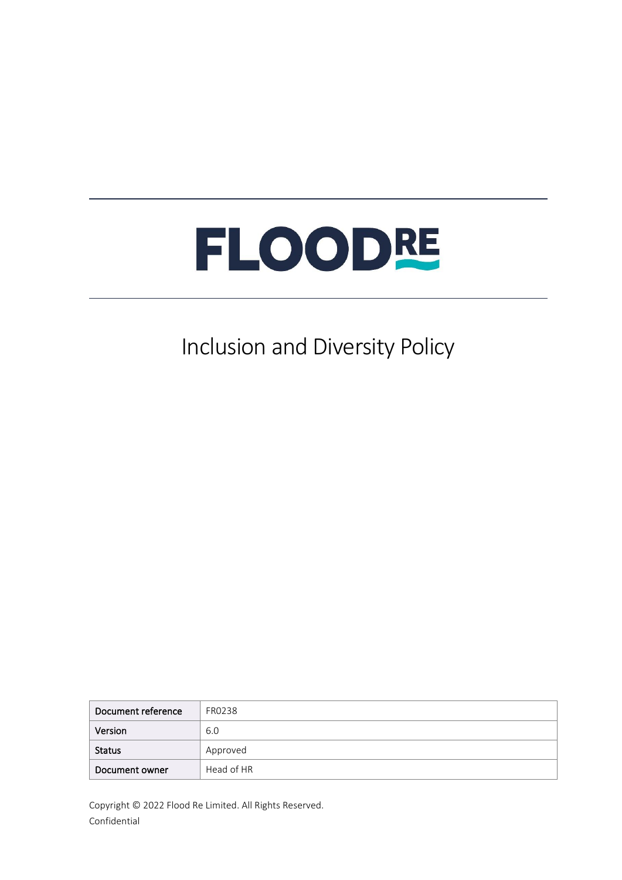

## Inclusion and Diversity Policy

| Document reference | FR0238     |
|--------------------|------------|
| Version            | 6.0        |
| <b>Status</b>      | Approved   |
| Document owner     | Head of HR |

Copyright © 2022 Flood Re Limited. All Rights Reserved. Confidential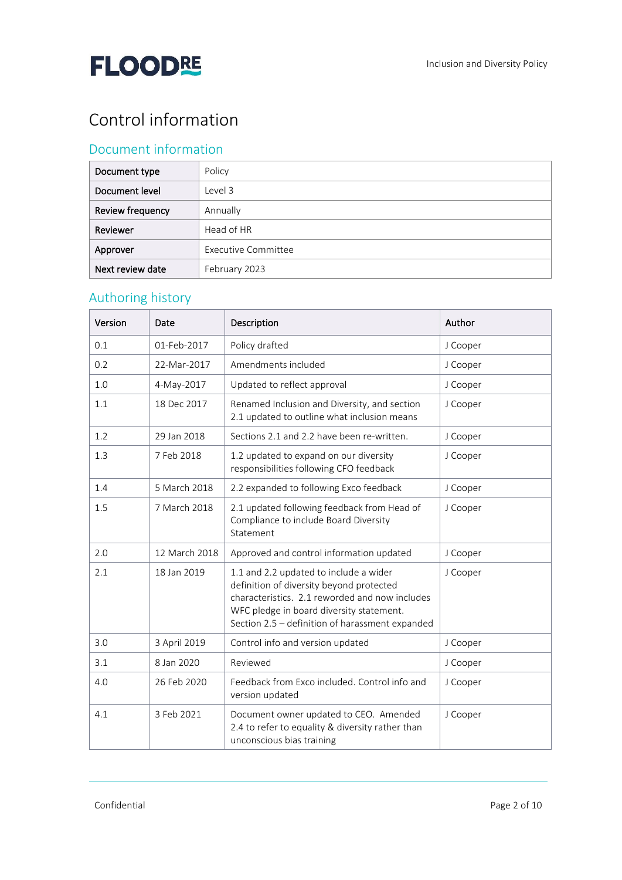## Control information

## Document information

| Document type    | Policy              |
|------------------|---------------------|
| Document level   | Level 3             |
| Review frequency | Annually            |
| Reviewer         | Head of HR          |
| Approver         | Executive Committee |
| Next review date | February 2023       |

## Authoring history

| Version | Date          | Description                                                                                                                                                                                                                         | Author   |
|---------|---------------|-------------------------------------------------------------------------------------------------------------------------------------------------------------------------------------------------------------------------------------|----------|
| 0.1     | 01-Feb-2017   | Policy drafted                                                                                                                                                                                                                      | J Cooper |
| 0.2     | 22-Mar-2017   | Amendments included                                                                                                                                                                                                                 | J Cooper |
| 1.0     | 4-May-2017    | Updated to reflect approval                                                                                                                                                                                                         | J Cooper |
| 1.1     | 18 Dec 2017   | Renamed Inclusion and Diversity, and section<br>2.1 updated to outline what inclusion means                                                                                                                                         | J Cooper |
| 1.2     | 29 Jan 2018   | Sections 2.1 and 2.2 have been re-written.                                                                                                                                                                                          | J Cooper |
| 1.3     | 7 Feb 2018    | 1.2 updated to expand on our diversity<br>responsibilities following CFO feedback                                                                                                                                                   | J Cooper |
| 1.4     | 5 March 2018  | 2.2 expanded to following Exco feedback                                                                                                                                                                                             | J Cooper |
| 1.5     | 7 March 2018  | 2.1 updated following feedback from Head of<br>Compliance to include Board Diversity<br>Statement                                                                                                                                   | J Cooper |
| 2.0     | 12 March 2018 | Approved and control information updated                                                                                                                                                                                            | J Cooper |
| 2.1     | 18 Jan 2019   | 1.1 and 2.2 updated to include a wider<br>definition of diversity beyond protected<br>characteristics. 2.1 reworded and now includes<br>WFC pledge in board diversity statement.<br>Section 2.5 - definition of harassment expanded | J Cooper |
| 3.0     | 3 April 2019  | Control info and version updated                                                                                                                                                                                                    | J Cooper |
| 3.1     | 8 Jan 2020    | Reviewed                                                                                                                                                                                                                            | J Cooper |
| 4.0     | 26 Feb 2020   | Feedback from Exco included. Control info and<br>version updated                                                                                                                                                                    | J Cooper |
| 4.1     | 3 Feb 2021    | Document owner updated to CEO. Amended<br>2.4 to refer to equality & diversity rather than<br>unconscious bias training                                                                                                             | J Cooper |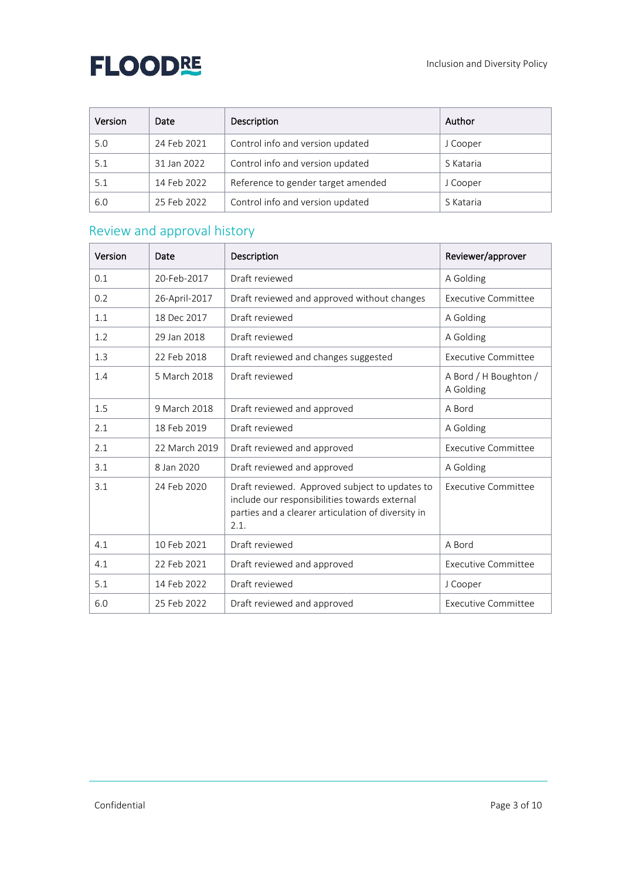| Version | Date        | Description                        | Author    |
|---------|-------------|------------------------------------|-----------|
| 5.0     | 24 Feb 2021 | Control info and version updated   | J Cooper  |
| 5.1     | 31 Jan 2022 | Control info and version updated   | S Kataria |
| 5.1     | 14 Feb 2022 | Reference to gender target amended | J Cooper  |
| 6.0     | 25 Feb 2022 | Control info and version updated   | S Kataria |

## Review and approval history

| Version | Date          | Description                                                                                                                                                   | Reviewer/approver                  |
|---------|---------------|---------------------------------------------------------------------------------------------------------------------------------------------------------------|------------------------------------|
| 0.1     | 20-Feb-2017   | Draft reviewed                                                                                                                                                | A Golding                          |
| 0.2     | 26-April-2017 | Draft reviewed and approved without changes                                                                                                                   | Executive Committee                |
| 1.1     | 18 Dec 2017   | Draft reviewed                                                                                                                                                | A Golding                          |
| 1.2     | 29 Jan 2018   | Draft reviewed                                                                                                                                                | A Golding                          |
| 1.3     | 22 Feb 2018   | Draft reviewed and changes suggested                                                                                                                          | Executive Committee                |
| 1.4     | 5 March 2018  | Draft reviewed                                                                                                                                                | A Bord / H Boughton /<br>A Golding |
| 1.5     | 9 March 2018  | Draft reviewed and approved                                                                                                                                   | A Bord                             |
| 2.1     | 18 Feb 2019   | Draft reviewed                                                                                                                                                | A Golding                          |
| 2.1     | 22 March 2019 | Draft reviewed and approved                                                                                                                                   | Executive Committee                |
| 3.1     | 8 Jan 2020    | Draft reviewed and approved                                                                                                                                   | A Golding                          |
| 3.1     | 24 Feb 2020   | Draft reviewed. Approved subject to updates to<br>include our responsibilities towards external<br>parties and a clearer articulation of diversity in<br>2.1. | Executive Committee                |
| 4.1     | 10 Feb 2021   | Draft reviewed                                                                                                                                                | A Bord                             |
| 4.1     | 22 Feb 2021   | Draft reviewed and approved                                                                                                                                   | Executive Committee                |
| 5.1     | 14 Feb 2022   | Draft reviewed                                                                                                                                                | J Cooper                           |
| 6.0     | 25 Feb 2022   | Draft reviewed and approved                                                                                                                                   | Executive Committee                |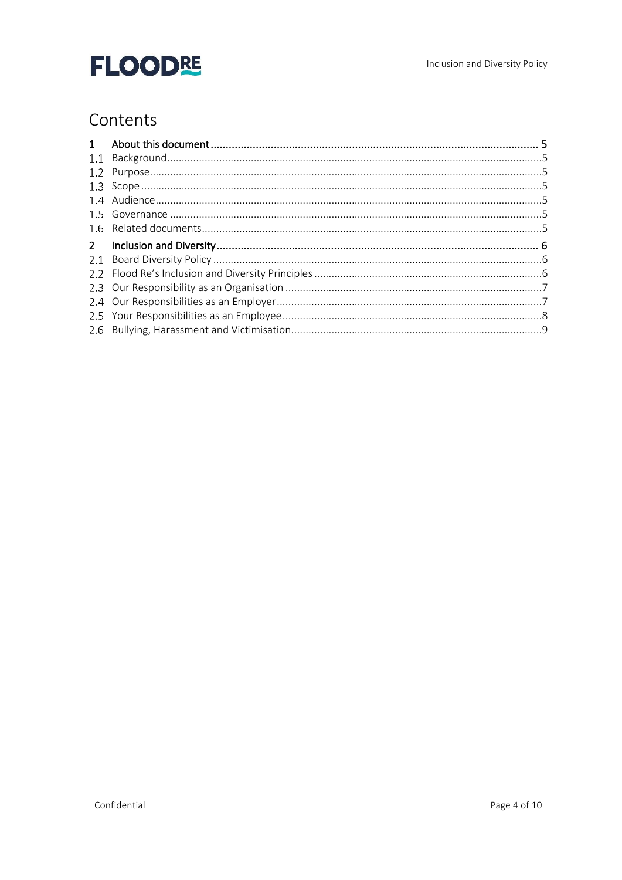## Contents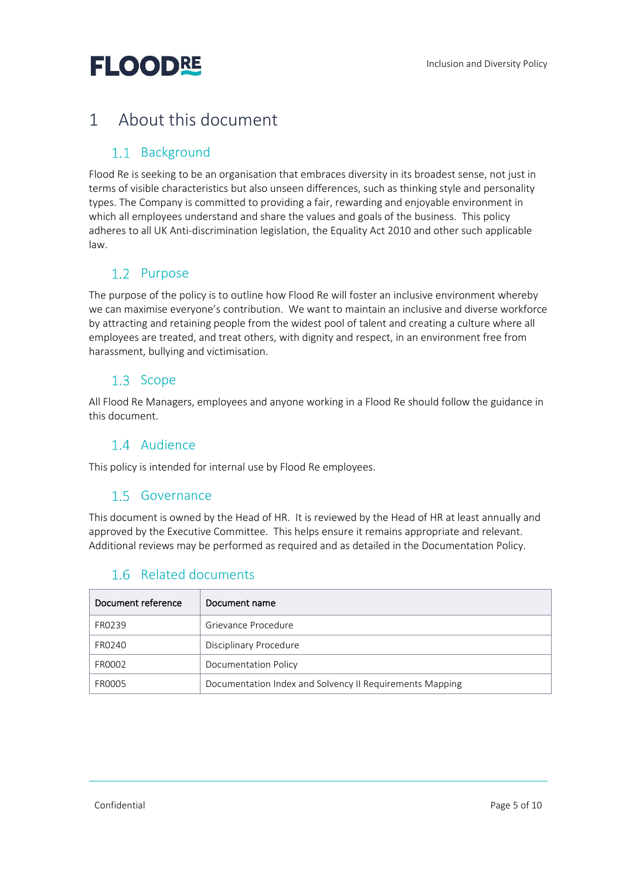## <span id="page-4-0"></span>1 About this document

## <span id="page-4-1"></span>1.1 Background

Flood Re is seeking to be an organisation that embraces diversity in its broadest sense, not just in terms of visible characteristics but also unseen differences, such as thinking style and personality types. The Company is committed to providing a fair, rewarding and enjoyable environment in which all employees understand and share the values and goals of the business. This policy adheres to all UK Anti-discrimination legislation, the Equality Act 2010 and other such applicable law.

### <span id="page-4-2"></span>1.2 Purpose

The purpose of the policy is to outline how Flood Re will foster an inclusive environment whereby we can maximise everyone's contribution. We want to maintain an inclusive and diverse workforce by attracting and retaining people from the widest pool of talent and creating a culture where all employees are treated, and treat others, with dignity and respect, in an environment free from harassment, bullying and victimisation.

### <span id="page-4-3"></span>1.3 Scope

All Flood Re Managers, employees and anyone working in a Flood Re should follow the guidance in this document.

### <span id="page-4-4"></span>1.4 Audience

<span id="page-4-5"></span>This policy is intended for internal use by Flood Re employees.

#### 1.5 Governance

This document is owned by the Head of HR. It is reviewed by the Head of HR at least annually and approved by the Executive Committee. This helps ensure it remains appropriate and relevant. Additional reviews may be performed as required and as detailed in the Documentation Policy.

| Document reference | Document name                                            |
|--------------------|----------------------------------------------------------|
| FR0239             | Grievance Procedure                                      |
| FR0240             | Disciplinary Procedure                                   |
| FR0002             | Documentation Policy                                     |
| FR0005             | Documentation Index and Solvency II Requirements Mapping |

### <span id="page-4-6"></span>1.6 Related documents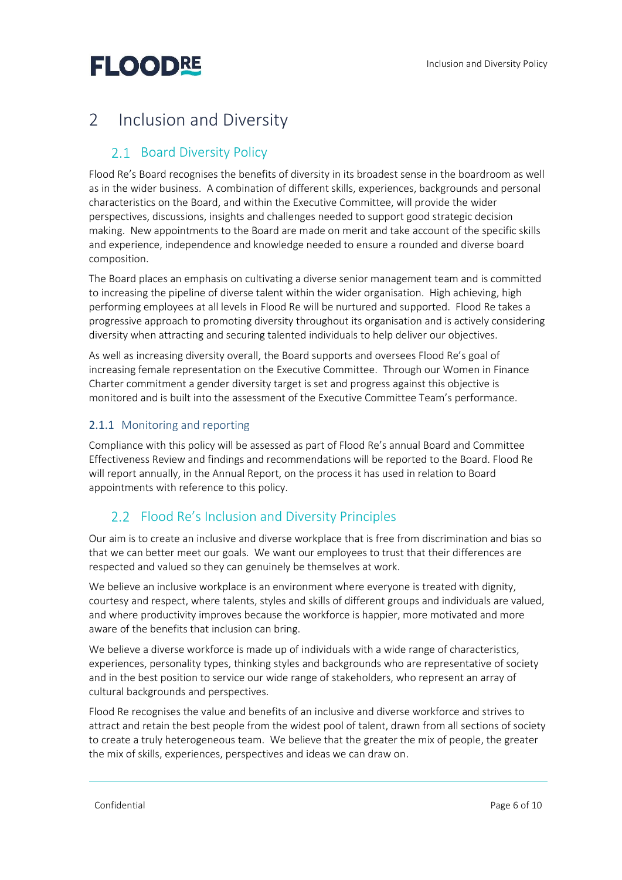## <span id="page-5-0"></span>2 Inclusion and Diversity

## <span id="page-5-1"></span>2.1 Board Diversity Policy

Flood Re's Board recognises the benefits of diversity in its broadest sense in the boardroom as well as in the wider business. A combination of different skills, experiences, backgrounds and personal characteristics on the Board, and within the Executive Committee, will provide the wider perspectives, discussions, insights and challenges needed to support good strategic decision making. New appointments to the Board are made on merit and take account of the specific skills and experience, independence and knowledge needed to ensure a rounded and diverse board composition.

The Board places an emphasis on cultivating a diverse senior management team and is committed to increasing the pipeline of diverse talent within the wider organisation. High achieving, high performing employees at all levels in Flood Re will be nurtured and supported. Flood Re takes a progressive approach to promoting diversity throughout its organisation and is actively considering diversity when attracting and securing talented individuals to help deliver our objectives.

As well as increasing diversity overall, the Board supports and oversees Flood Re's goal of increasing female representation on the Executive Committee. Through our Women in Finance Charter commitment a gender diversity target is set and progress against this objective is monitored and is built into the assessment of the Executive Committee Team's performance.

#### 2.1.1 Monitoring and reporting

Compliance with this policy will be assessed as part of Flood Re's annual Board and Committee Effectiveness Review and findings and recommendations will be reported to the Board. Flood Re will report annually, in the Annual Report, on the process it has used in relation to Board appointments with reference to this policy.

## <span id="page-5-2"></span>2.2 Flood Re's Inclusion and Diversity Principles

Our aim is to create an inclusive and diverse workplace that is free from discrimination and bias so that we can better meet our goals. We want our employees to trust that their differences are respected and valued so they can genuinely be themselves at work.

We believe an inclusive workplace is an environment where everyone is treated with dignity, courtesy and respect, where talents, styles and skills of different groups and individuals are valued, and where productivity improves because the workforce is happier, more motivated and more aware of the benefits that inclusion can bring.

We believe a diverse workforce is made up of individuals with a wide range of characteristics, experiences, personality types, thinking styles and backgrounds who are representative of society and in the best position to service our wide range of stakeholders, who represent an array of cultural backgrounds and perspectives.

Flood Re recognises the value and benefits of an inclusive and diverse workforce and strives to attract and retain the best people from the widest pool of talent, drawn from all sections of society to create a truly heterogeneous team. We believe that the greater the mix of people, the greater the mix of skills, experiences, perspectives and ideas we can draw on.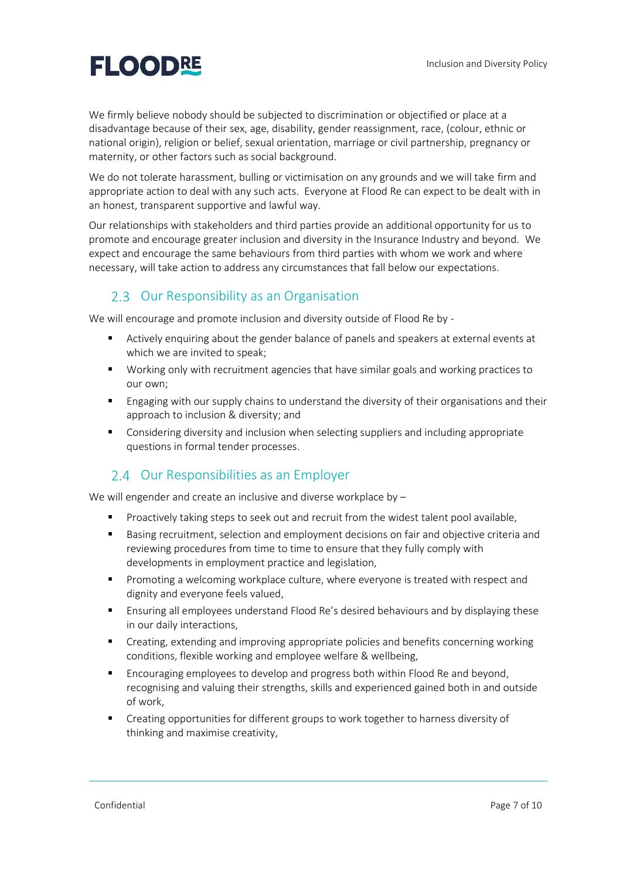We firmly believe nobody should be subjected to discrimination or objectified or place at a disadvantage because of their sex, age, disability, gender reassignment, race, (colour, ethnic or national origin), religion or belief, sexual orientation, marriage or civil partnership, pregnancy or maternity, or other factors such as social background.

We do not tolerate harassment, bulling or victimisation on any grounds and we will take firm and appropriate action to deal with any such acts. Everyone at Flood Re can expect to be dealt with in an honest, transparent supportive and lawful way.

Our relationships with stakeholders and third parties provide an additional opportunity for us to promote and encourage greater inclusion and diversity in the Insurance Industry and beyond. We expect and encourage the same behaviours from third parties with whom we work and where necessary, will take action to address any circumstances that fall below our expectations.

### <span id="page-6-0"></span>2.3 Our Responsibility as an Organisation

We will encourage and promote inclusion and diversity outside of Flood Re by -

- Actively enquiring about the gender balance of panels and speakers at external events at which we are invited to speak;
- Working only with recruitment agencies that have similar goals and working practices to our own;
- **E** Engaging with our supply chains to understand the diversity of their organisations and their approach to inclusion & diversity; and
- Considering diversity and inclusion when selecting suppliers and including appropriate questions in formal tender processes.

### <span id="page-6-1"></span>2.4 Our Responsibilities as an Employer

We will engender and create an inclusive and diverse workplace by -

- **•** Proactively taking steps to seek out and recruit from the widest talent pool available,
- Basing recruitment, selection and employment decisions on fair and objective criteria and reviewing procedures from time to time to ensure that they fully comply with developments in employment practice and legislation,
- Promoting a welcoming workplace culture, where everyone is treated with respect and dignity and everyone feels valued,
- Ensuring all employees understand Flood Re's desired behaviours and by displaying these in our daily interactions,
- Creating, extending and improving appropriate policies and benefits concerning working conditions, flexible working and employee welfare & wellbeing,
- **Encouraging employees to develop and progress both within Flood Re and beyond,** recognising and valuing their strengths, skills and experienced gained both in and outside of work,
- Creating opportunities for different groups to work together to harness diversity of thinking and maximise creativity,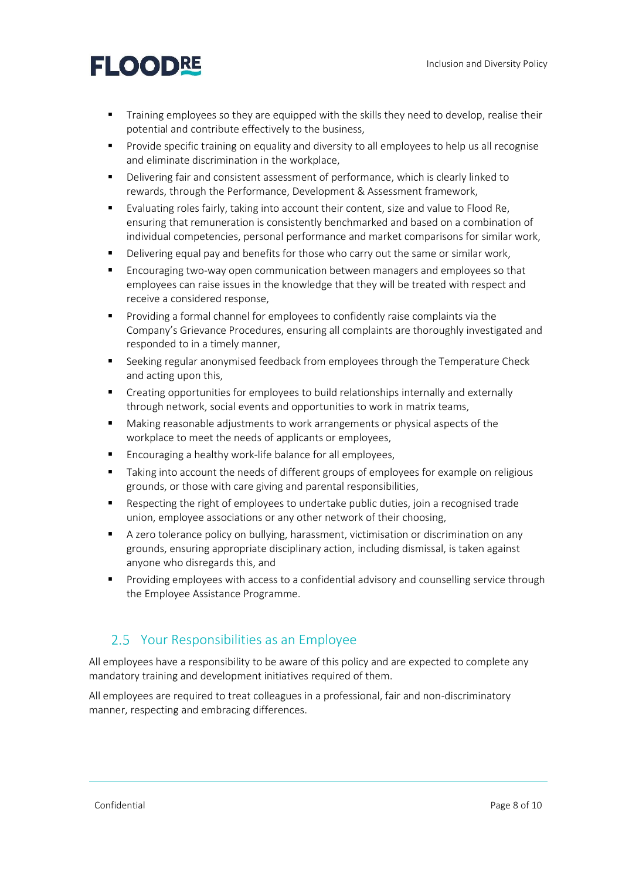- Training employees so they are equipped with the skills they need to develop, realise their potential and contribute effectively to the business,
- **•** Provide specific training on equality and diversity to all employees to help us all recognise and eliminate discrimination in the workplace,
- Delivering fair and consistent assessment of performance, which is clearly linked to rewards, through the Performance, Development & Assessment framework,
- Evaluating roles fairly, taking into account their content, size and value to Flood Re, ensuring that remuneration is consistently benchmarked and based on a combination of individual competencies, personal performance and market comparisons for similar work,
- **•** Delivering equal pay and benefits for those who carry out the same or similar work,
- Encouraging two-way open communication between managers and employees so that employees can raise issues in the knowledge that they will be treated with respect and receive a considered response,
- Providing a formal channel for employees to confidently raise complaints via the Company's Grievance Procedures, ensuring all complaints are thoroughly investigated and responded to in a timely manner,
- Seeking regular anonymised feedback from employees through the Temperature Check and acting upon this,
- **•** Creating opportunities for employees to build relationships internally and externally through network, social events and opportunities to work in matrix teams,
- Making reasonable adjustments to work arrangements or physical aspects of the workplace to meet the needs of applicants or employees,
- Encouraging a healthy work-life balance for all employees.
- **■** Taking into account the needs of different groups of employees for example on religious grounds, or those with care giving and parental responsibilities,
- Respecting the right of employees to undertake public duties, join a recognised trade union, employee associations or any other network of their choosing,
- A zero tolerance policy on bullying, harassment, victimisation or discrimination on any grounds, ensuring appropriate disciplinary action, including dismissal, is taken against anyone who disregards this, and
- Providing employees with access to a confidential advisory and counselling service through the Employee Assistance Programme.

### <span id="page-7-0"></span>2.5 Your Responsibilities as an Employee

All employees have a responsibility to be aware of this policy and are expected to complete any mandatory training and development initiatives required of them.

All employees are required to treat colleagues in a professional, fair and non-discriminatory manner, respecting and embracing differences.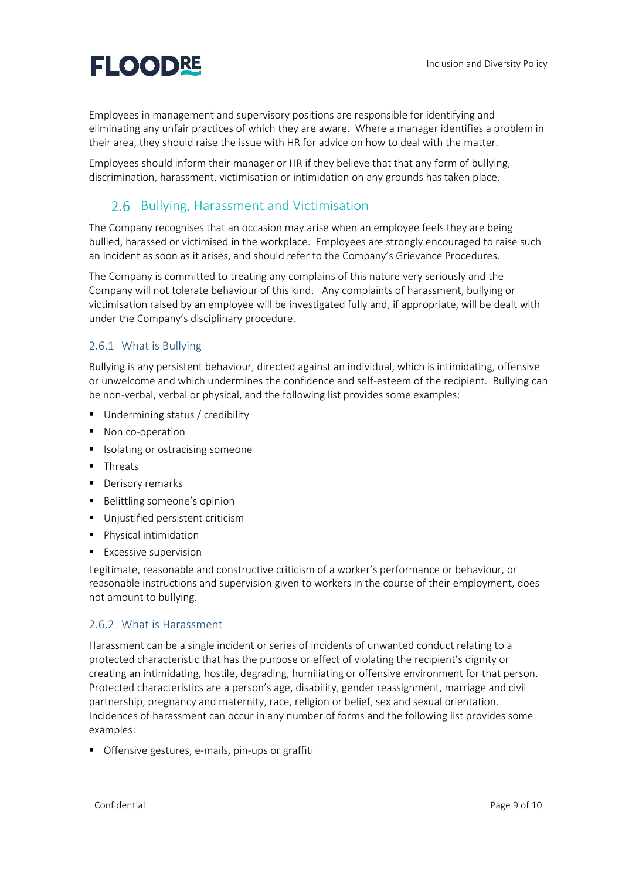Employees in management and supervisory positions are responsible for identifying and eliminating any unfair practices of which they are aware. Where a manager identifies a problem in their area, they should raise the issue with HR for advice on how to deal with the matter.

Employees should inform their manager or HR if they believe that that any form of bullying, discrimination, harassment, victimisation or intimidation on any grounds has taken place.

## <span id="page-8-0"></span>2.6 Bullying, Harassment and Victimisation

The Company recognises that an occasion may arise when an employee feels they are being bullied, harassed or victimised in the workplace. Employees are strongly encouraged to raise such an incident as soon as it arises, and should refer to the Company's Grievance Procedures.

The Company is committed to treating any complains of this nature very seriously and the Company will not tolerate behaviour of this kind. Any complaints of harassment, bullying or victimisation raised by an employee will be investigated fully and, if appropriate, will be dealt with under the Company's disciplinary procedure.

#### 2.6.1 What is Bullying

Bullying is any persistent behaviour, directed against an individual, which is intimidating, offensive or unwelcome and which undermines the confidence and self-esteem of the recipient. Bullying can be non-verbal, verbal or physical, and the following list provides some examples:

- Undermining status / credibility
- Non co-operation
- Isolating or ostracising someone
- Threats
- Derisory remarks
- Belittling someone's opinion
- Unjustified persistent criticism
- Physical intimidation
- Excessive supervision

Legitimate, reasonable and constructive criticism of a worker's performance or behaviour, or reasonable instructions and supervision given to workers in the course of their employment, does not amount to bullying.

#### 2.6.2 What is Harassment

Harassment can be a single incident or series of incidents of unwanted conduct relating to a protected characteristic that has the purpose or effect of violating the recipient's dignity or creating an intimidating, hostile, degrading, humiliating or offensive environment for that person. Protected characteristics are a person's age, disability, gender reassignment, marriage and civil partnership, pregnancy and maternity, race, religion or belief, sex and sexual orientation. Incidences of harassment can occur in any number of forms and the following list provides some examples:

Offensive gestures, e-mails, pin-ups or graffiti